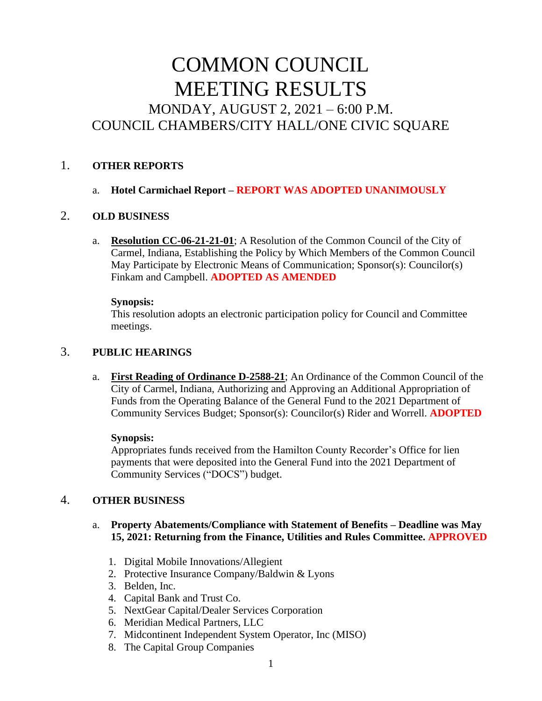# COMMON COUNCIL MEETING RESULTS MONDAY, AUGUST 2, 2021 – 6:00 P.M. COUNCIL CHAMBERS/CITY HALL/ONE CIVIC SQUARE

# 1. **OTHER REPORTS**

# a. **Hotel Carmichael Report – REPORT WAS ADOPTED UNANIMOUSLY**

# 2. **OLD BUSINESS**

a. **Resolution CC-06-21-21-01**; A Resolution of the Common Council of the City of Carmel, Indiana, Establishing the Policy by Which Members of the Common Council May Participate by Electronic Means of Communication; Sponsor(s): Councilor(s) Finkam and Campbell. **ADOPTED AS AMENDED** 

#### **Synopsis:**

This resolution adopts an electronic participation policy for Council and Committee meetings.

# 3. **PUBLIC HEARINGS**

a. **First Reading of Ordinance D-2588-21**; An Ordinance of the Common Council of the City of Carmel, Indiana, Authorizing and Approving an Additional Appropriation of Funds from the Operating Balance of the General Fund to the 2021 Department of Community Services Budget; Sponsor(s): Councilor(s) Rider and Worrell. **ADOPTED**

#### **Synopsis:**

Appropriates funds received from the Hamilton County Recorder's Office for lien payments that were deposited into the General Fund into the 2021 Department of Community Services ("DOCS") budget.

# 4. **OTHER BUSINESS**

# a. **Property Abatements/Compliance with Statement of Benefits – Deadline was May 15, 2021: Returning from the Finance, Utilities and Rules Committee. APPROVED**

- 1. Digital Mobile Innovations/Allegient
- 2. Protective Insurance Company/Baldwin & Lyons
- 3. Belden, Inc.
- 4. Capital Bank and Trust Co.
- 5. NextGear Capital/Dealer Services Corporation
- 6. Meridian Medical Partners, LLC
- 7. Midcontinent Independent System Operator, Inc (MISO)
- 8. The Capital Group Companies